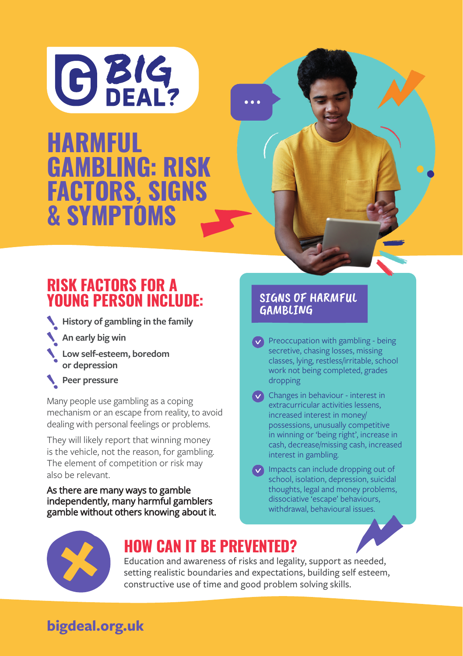

**PROBLEM GAMBLING AWARENESS workshops workshops** GAMBLING: RISK FACTORS, SIGNS **HARMFUL**

## RISK FACTORS FOR A YOUNG PERSON INCLUDE:

**History of gambling in the family** 

**An early big win**

- **Low self-esteem, boredom or depression**
- **Peer pressure**

Many people use gambling as a coping mechanism or an escape from reality, to avoid dealing with personal feelings or problems.

They will likely report that winning money is the vehicle, not the reason, for gambling. The element of competition or risk may also be relevant.

As there are many ways to gamble independently, many harmful gamblers gamble without others knowing about it.

#### SIGNS OF HARMFUL **GAMBLING**

 $\vee$  Preoccupation with gambling - being secretive, chasing losses, missing classes, lying, restless/irritable, school work not being completed, grades dropping

Changes in behaviour - interest in extracurricular activities lessens, increased interest in money/ possessions, unusually competitive in winning or 'being right', increase in cash, decrease/missing cash, increased interest in gambling.

Impacts can include dropping out of school, isolation, depression, suicidal thoughts, legal and money problems, dissociative 'escape' behaviours, withdrawal, behavioural issues.



## HOW CAN IT BE PREVENTED?

Education and awareness of risks and legality, support as needed, setting realistic boundaries and expectations, building self esteem, constructive use of time and good problem solving skills.

# **bigdeal.org.uk**